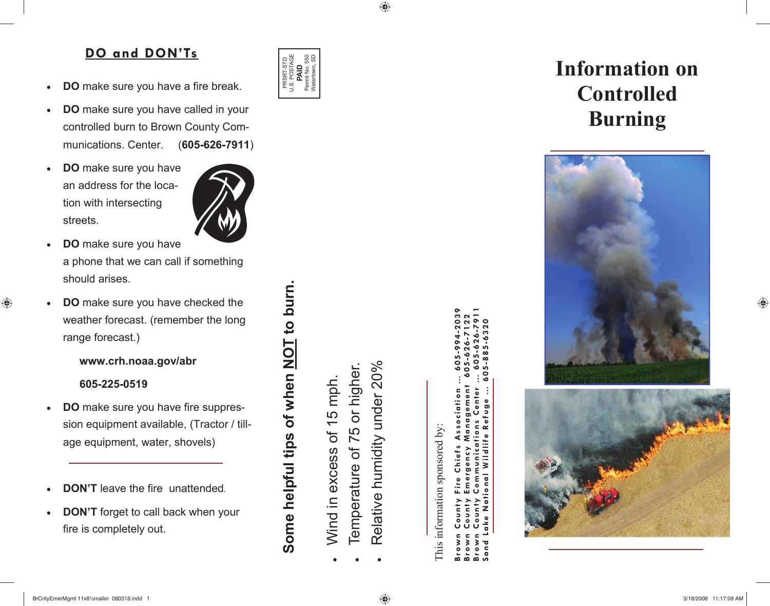## **DO and DON'Ts**

- **DO** make sure you have a fire break.
- **DO** make sure you have called in your controlled burn to Brown County Communications. Center. (**605-626-7911**)
- **DO** make sure you have an address for the location with intersecting streets.



- **DO** make sure you have a phone that we can call if something should arises.
- **DO** make sure you have checked the weather forecast. (remember the long range forecast.)

**www.crh.noaa.gov/abr** 

 **605-225-0519** 

◈

- **DO** make sure you have fire suppression equipment available, (Tractor / tillage equipment, water, shovels)
- **DON'T** leave the fire unattended.
- **DON'T** forget to call back when your fire is completely out.

#### U.S. POSTAGE 55<br>50 PRSRT-STD<br>U.S. POSTAGE<br>**PAID**<br>Permit No. 550<br>Watertown, SD Permit No. 550 Watertown, SD PRSRT-STD

◈

x Wind in excess of 15 mph. Wind in excess of 15 mph.

**Some helpful tips of when NOT to burn.** 

Some helpful tips of when NOT to burn

- x Temperature of 75 or higher. Temperature of 75 or higher.
- x Relative humidity under 20% Relative humidity under 20%

This information sponsored by: information sponsored by This

**Brown County Fire Chiefs Association … 605-994-2039 Brown County Communications Center … 605-626-7911 Brown County Emergency Management 605-626-7122 Sand Lake National Wildlife Refuge … 605-885-6320**   $-632$  $\alpha$ Ξ efug ociat  $\sim$ Wildlife Chief gen ational ż  $\mathbf{d}$ and

# **Information on Controlled Burning**



♠